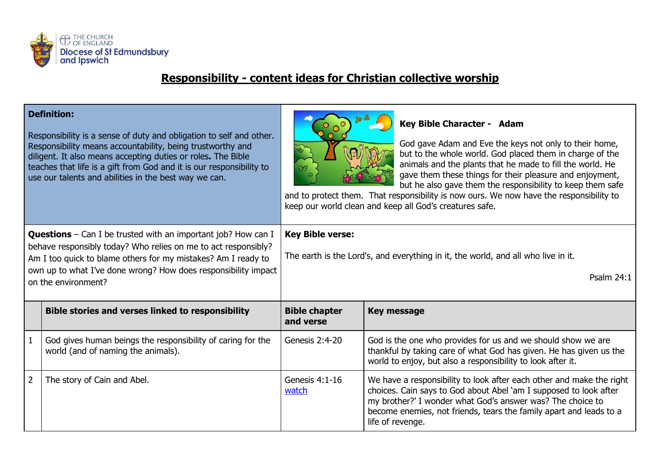

## **Responsibility - content ideas for Christian collective worship**

## **Definition:**

Responsibility is a sense of duty and obligation to self and other. Responsibility means accountability, being trustworthy and diligent. It also means accepting duties or roles**.** The Bible teaches that life is a gift from God and it is our responsibility to use our talents and abilities in the best way we can.



## **Key Bible Character - Adam**

God gave Adam and Eve the keys not only to their home, but to the whole world. God placed them in charge of the animals and the plants that he made to fill the world. He gave them these things for their pleasure and enjoyment, but he also gave them the responsibility to keep them safe

and to protect them. That responsibility is now ours. We now have the responsibility to keep our world clean and keep all God's creatures safe.

| <b>Questions</b> – Can I be trusted with an important job? How can I<br>behave responsibly today? Who relies on me to act responsibly?<br>Am I too quick to blame others for my mistakes? Am I ready to<br>own up to what I've done wrong? How does responsibility impact<br>on the environment? |                                                                                                   | <b>Key Bible verse:</b><br>The earth is the Lord's, and everything in it, the world, and all who live in it.<br>Psalm 24:1 |                                                                                                                                                                                                                                                                                                   |
|--------------------------------------------------------------------------------------------------------------------------------------------------------------------------------------------------------------------------------------------------------------------------------------------------|---------------------------------------------------------------------------------------------------|----------------------------------------------------------------------------------------------------------------------------|---------------------------------------------------------------------------------------------------------------------------------------------------------------------------------------------------------------------------------------------------------------------------------------------------|
|                                                                                                                                                                                                                                                                                                  | <b>Bible stories and verses linked to responsibility</b>                                          | <b>Bible chapter</b><br>and verse                                                                                          | <b>Key message</b>                                                                                                                                                                                                                                                                                |
| $\mathbf 1$                                                                                                                                                                                                                                                                                      | God gives human beings the responsibility of caring for the<br>world (and of naming the animals). | Genesis 2:4-20                                                                                                             | God is the one who provides for us and we should show we are<br>thankful by taking care of what God has given. He has given us the<br>world to enjoy, but also a responsibility to look after it.                                                                                                 |
| $\overline{2}$                                                                                                                                                                                                                                                                                   | The story of Cain and Abel.                                                                       | Genesis 4:1-16<br>watch                                                                                                    | We have a responsibility to look after each other and make the right<br>choices. Cain says to God about Abel 'am I supposed to look after<br>my brother?' I wonder what God's answer was? The choice to<br>become enemies, not friends, tears the family apart and leads to a<br>life of revenge. |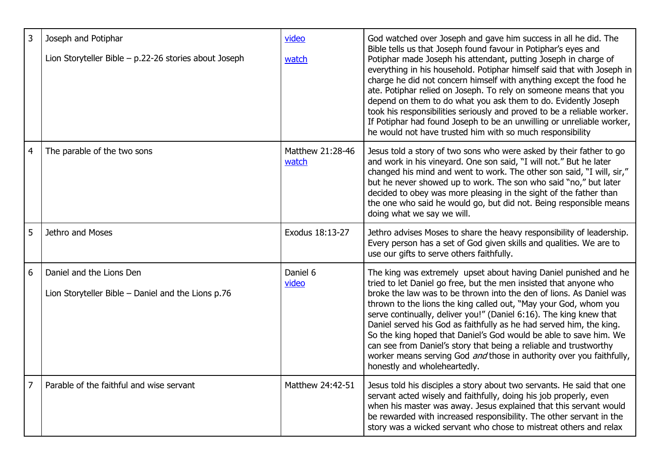| $\overline{3}$ | Joseph and Potiphar<br>Lion Storyteller Bible - p.22-26 stories about Joseph   | video<br>watch            | God watched over Joseph and gave him success in all he did. The<br>Bible tells us that Joseph found favour in Potiphar's eyes and<br>Potiphar made Joseph his attendant, putting Joseph in charge of<br>everything in his household. Potiphar himself said that with Joseph in<br>charge he did not concern himself with anything except the food he<br>ate. Potiphar relied on Joseph. To rely on someone means that you<br>depend on them to do what you ask them to do. Evidently Joseph<br>took his responsibilities seriously and proved to be a reliable worker.<br>If Potiphar had found Joseph to be an unwilling or unreliable worker,<br>he would not have trusted him with so much responsibility |
|----------------|--------------------------------------------------------------------------------|---------------------------|--------------------------------------------------------------------------------------------------------------------------------------------------------------------------------------------------------------------------------------------------------------------------------------------------------------------------------------------------------------------------------------------------------------------------------------------------------------------------------------------------------------------------------------------------------------------------------------------------------------------------------------------------------------------------------------------------------------|
| $\overline{4}$ | The parable of the two sons                                                    | Matthew 21:28-46<br>watch | Jesus told a story of two sons who were asked by their father to go<br>and work in his vineyard. One son said, "I will not." But he later<br>changed his mind and went to work. The other son said, "I will, sir,"<br>but he never showed up to work. The son who said "no," but later<br>decided to obey was more pleasing in the sight of the father than<br>the one who said he would go, but did not. Being responsible means<br>doing what we say we will.                                                                                                                                                                                                                                              |
| 5              | Jethro and Moses                                                               | Exodus 18:13-27           | Jethro advises Moses to share the heavy responsibility of leadership.<br>Every person has a set of God given skills and qualities. We are to<br>use our gifts to serve others faithfully.                                                                                                                                                                                                                                                                                                                                                                                                                                                                                                                    |
| 6              | Daniel and the Lions Den<br>Lion Storyteller Bible - Daniel and the Lions p.76 | Daniel 6<br>video         | The king was extremely upset about having Daniel punished and he<br>tried to let Daniel go free, but the men insisted that anyone who<br>broke the law was to be thrown into the den of lions. As Daniel was<br>thrown to the lions the king called out, "May your God, whom you<br>serve continually, deliver you!" (Daniel 6:16). The king knew that<br>Daniel served his God as faithfully as he had served him, the king.<br>So the king hoped that Daniel's God would be able to save him. We<br>can see from Daniel's story that being a reliable and trustworthy<br>worker means serving God and those in authority over you faithfully,<br>honestly and wholeheartedly.                              |
| $\overline{7}$ | Parable of the faithful and wise servant                                       | Matthew 24:42-51          | Jesus told his disciples a story about two servants. He said that one<br>servant acted wisely and faithfully, doing his job properly, even<br>when his master was away. Jesus explained that this servant would<br>be rewarded with increased responsibility. The other servant in the<br>story was a wicked servant who chose to mistreat others and relax                                                                                                                                                                                                                                                                                                                                                  |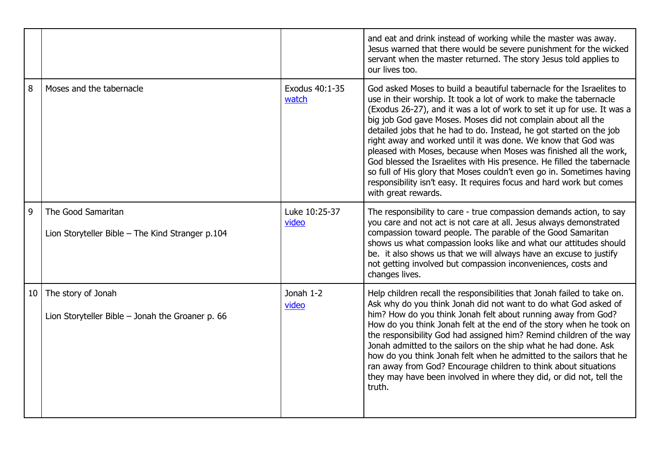|    |                                                                          |                         | and eat and drink instead of working while the master was away.<br>Jesus warned that there would be severe punishment for the wicked<br>servant when the master returned. The story Jesus told applies to<br>our lives too.                                                                                                                                                                                                                                                                                                                                                                                                                                                                                                                           |
|----|--------------------------------------------------------------------------|-------------------------|-------------------------------------------------------------------------------------------------------------------------------------------------------------------------------------------------------------------------------------------------------------------------------------------------------------------------------------------------------------------------------------------------------------------------------------------------------------------------------------------------------------------------------------------------------------------------------------------------------------------------------------------------------------------------------------------------------------------------------------------------------|
| 8  | Moses and the tabernacle                                                 | Exodus 40:1-35<br>watch | God asked Moses to build a beautiful tabernacle for the Israelites to<br>use in their worship. It took a lot of work to make the tabernacle<br>(Exodus 26-27), and it was a lot of work to set it up for use. It was a<br>big job God gave Moses. Moses did not complain about all the<br>detailed jobs that he had to do. Instead, he got started on the job<br>right away and worked until it was done. We know that God was<br>pleased with Moses, because when Moses was finished all the work,<br>God blessed the Israelites with His presence. He filled the tabernacle<br>so full of His glory that Moses couldn't even go in. Sometimes having<br>responsibility isn't easy. It requires focus and hard work but comes<br>with great rewards. |
| 9  | The Good Samaritan<br>Lion Storyteller Bible - The Kind Stranger p.104   | Luke 10:25-37<br>video  | The responsibility to care - true compassion demands action, to say<br>you care and not act is not care at all. Jesus always demonstrated<br>compassion toward people. The parable of the Good Samaritan<br>shows us what compassion looks like and what our attitudes should<br>be. it also shows us that we will always have an excuse to justify<br>not getting involved but compassion inconveniences, costs and<br>changes lives.                                                                                                                                                                                                                                                                                                                |
| 10 | The story of Jonah<br>Lion Storyteller Bible $-$ Jonah the Groaner p. 66 | Jonah 1-2<br>video      | Help children recall the responsibilities that Jonah failed to take on.<br>Ask why do you think Jonah did not want to do what God asked of<br>him? How do you think Jonah felt about running away from God?<br>How do you think Jonah felt at the end of the story when he took on<br>the responsibility God had assigned him? Remind children of the way<br>Jonah admitted to the sailors on the ship what he had done. Ask<br>how do you think Jonah felt when he admitted to the sailors that he<br>ran away from God? Encourage children to think about situations<br>they may have been involved in where they did, or did not, tell the<br>truth.                                                                                               |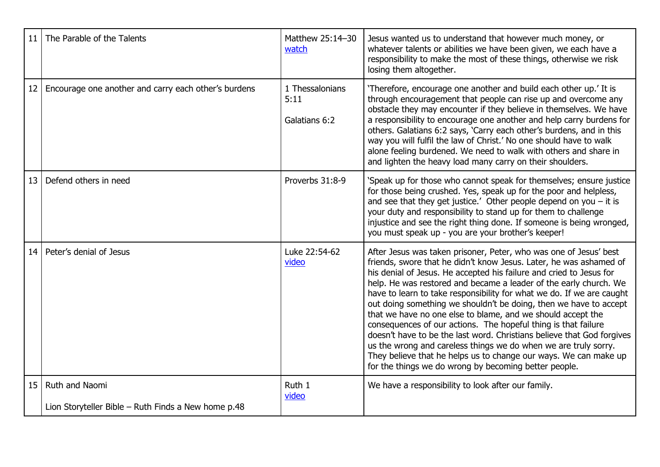| 11              | The Parable of the Talents                                            | Matthew 25:14-30<br>watch                | Jesus wanted us to understand that however much money, or<br>whatever talents or abilities we have been given, we each have a<br>responsibility to make the most of these things, otherwise we risk<br>losing them altogether.                                                                                                                                                                                                                                                                                                                                                                                                                                                                                                                                                                                                               |
|-----------------|-----------------------------------------------------------------------|------------------------------------------|----------------------------------------------------------------------------------------------------------------------------------------------------------------------------------------------------------------------------------------------------------------------------------------------------------------------------------------------------------------------------------------------------------------------------------------------------------------------------------------------------------------------------------------------------------------------------------------------------------------------------------------------------------------------------------------------------------------------------------------------------------------------------------------------------------------------------------------------|
| 12 <sup>2</sup> | Encourage one another and carry each other's burdens                  | 1 Thessalonians<br>5:11<br>Galatians 6:2 | 'Therefore, encourage one another and build each other up.' It is<br>through encouragement that people can rise up and overcome any<br>obstacle they may encounter if they believe in themselves. We have<br>a responsibility to encourage one another and help carry burdens for<br>others. Galatians 6:2 says, 'Carry each other's burdens, and in this<br>way you will fulfil the law of Christ.' No one should have to walk<br>alone feeling burdened. We need to walk with others and share in<br>and lighten the heavy load many carry on their shoulders.                                                                                                                                                                                                                                                                             |
| 13              | Defend others in need                                                 | Proverbs 31:8-9                          | 'Speak up for those who cannot speak for themselves; ensure justice<br>for those being crushed. Yes, speak up for the poor and helpless,<br>and see that they get justice.' Other people depend on you $-$ it is<br>your duty and responsibility to stand up for them to challenge<br>injustice and see the right thing done. If someone is being wronged,<br>you must speak up - you are your brother's keeper!                                                                                                                                                                                                                                                                                                                                                                                                                             |
| 14              | Peter's denial of Jesus                                               | Luke 22:54-62<br>video                   | After Jesus was taken prisoner, Peter, who was one of Jesus' best<br>friends, swore that he didn't know Jesus. Later, he was ashamed of<br>his denial of Jesus. He accepted his failure and cried to Jesus for<br>help. He was restored and became a leader of the early church. We<br>have to learn to take responsibility for what we do. If we are caught<br>out doing something we shouldn't be doing, then we have to accept<br>that we have no one else to blame, and we should accept the<br>consequences of our actions. The hopeful thing is that failure<br>doesn't have to be the last word. Christians believe that God forgives<br>us the wrong and careless things we do when we are truly sorry.<br>They believe that he helps us to change our ways. We can make up<br>for the things we do wrong by becoming better people. |
| 15              | Ruth and Naomi<br>Lion Storyteller Bible - Ruth Finds a New home p.48 | Ruth 1<br>video                          | We have a responsibility to look after our family.                                                                                                                                                                                                                                                                                                                                                                                                                                                                                                                                                                                                                                                                                                                                                                                           |
|                 |                                                                       |                                          |                                                                                                                                                                                                                                                                                                                                                                                                                                                                                                                                                                                                                                                                                                                                                                                                                                              |